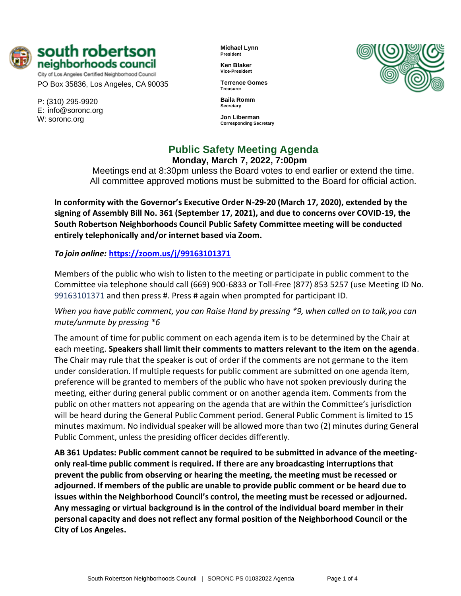

City of Los Angeles Certified Neighborhood Council PO Box 35836, Los Angeles, CA 90035

P: (310) 295-9920 E: [info@soronc.org](mailto:info@soronc.org) W: soronc.org

**Michael Lynn President**

**Ken Blaker Vice-President**

**Terrence Gomes Treasurer**

**Baila Romm Secretary**

**Jon Liberman Corresponding Secretary**



**Public Safety Meeting Agenda Monday, March 7, 2022, 7:00pm**

Meetings end at 8:30pm unless the Board votes to end earlier or extend the time. All committee approved motions must be submitted to the Board for official action.

**In conformity with the Governor's Executive Order N-29-20 (March 17, 2020), extended by the signing of Assembly Bill No. 361 (September 17, 2021), and due to concerns over COVID-19, the South Robertson Neighborhoods Council Public Safety Committee meeting will be conducted entirely telephonically and/or internet based via Zoom.**

*To join online:* **<https://zoom.us/j/99163101371>**

Members of the public who wish to listen to the meeting or participate in public comment to the Committee via telephone should call (669) 900-6833 or Toll-Free (877) 853 5257 (use Meeting ID No. 99163101371 and then press #. Press # again when prompted for participant ID.

*When you have public comment, you can Raise Hand by pressing \*9, when called on to talk,you can mute/unmute by pressing \*6*

The amount of time for public comment on each agenda item is to be determined by the Chair at each meeting. **Speakers shall limit their comments to matters relevant to the item on the agenda**. The Chair may rule that the speaker is out of order if the comments are not germane to the item under consideration. If multiple requests for public comment are submitted on one agenda item, preference will be granted to members of the public who have not spoken previously during the meeting, either during general public comment or on another agenda item. Comments from the public on other matters not appearing on the agenda that are within the Committee's jurisdiction will be heard during the General Public Comment period. General Public Comment is limited to 15 minutes maximum. No individual speaker will be allowed more than two (2) minutes during General Public Comment, unless the presiding officer decides differently.

**AB 361 Updates: Public comment cannot be required to be submitted in advance of the meetingonly real-time public comment is required. If there are any broadcasting interruptions that prevent the public from observing or hearing the meeting, the meeting must be recessed or adjourned. If members of the public are unable to provide public comment or be heard due to issues within the Neighborhood Council's control, the meeting must be recessed or adjourned. Any messaging or virtual background is in the control of the individual board member in their personal capacity and does not reflect any formal position of the Neighborhood Council or the City of Los Angeles.**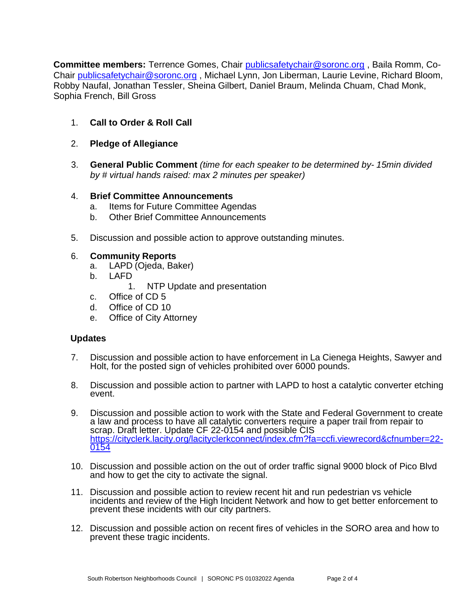**Committee members:** Terrence Gomes, Chair [publicsafetychair@soronc.org](mailto:publicsafetychair@soronc.org) , Baila Romm, Co-Chair [publicsafetychair@soronc.org](mailto:publicsafetychair@soronc.org) , Michael Lynn, Jon Liberman, Laurie Levine, Richard Bloom, Robby Naufal, Jonathan Tessler, Sheina Gilbert, Daniel Braum, Melinda Chuam, Chad Monk, Sophia French, Bill Gross

- 1. **Call to Order & Roll Call**
- 2. **Pledge of Allegiance**
- 3. **General Public Comment** *(time for each speaker to be determined by- 15min divided by # virtual hands raised: max 2 minutes per speaker)*

## 4. **Brief Committee Announcements**

- a. Items for Future Committee Agendas
- b. Other Brief Committee Announcements
- 5. Discussion and possible action to approve outstanding minutes.

# 6. **Community Reports**

- a. LAPD (Ojeda, Baker)
- b. LAFD
	- 1. NTP Update and presentation
- c. Office of CD 5
- d. Office of CD 10
- e. Office of City Attorney

# **Updates**

- 7. Discussion and possible action to have enforcement in La Cienega Heights, Sawyer and Holt, for the posted sign of vehicles prohibited over 6000 pounds.
- 8. Discussion and possible action to partner with LAPD to host a catalytic converter etching event.
- 9. Discussion and possible action to work with the State and Federal Government to create a law and process to have all catalytic converters require a paper trail from repair to scrap. Draft letter. Update CF 22-0154 and possible CIS [https://cityclerk.lacity.org/lacityclerkconnect/index.cfm?fa=ccfi.viewrecord&cfnumber=22-](https://cityclerk.lacity.org/lacityclerkconnect/index.cfm?fa=ccfi.viewrecord&cfnumber=22-0154) [0154](https://cityclerk.lacity.org/lacityclerkconnect/index.cfm?fa=ccfi.viewrecord&cfnumber=22-0154)
- 10. Discussion and possible action on the out of order traffic signal 9000 block of Pico Blvd and how to get the city to activate the signal.
- 11. Discussion and possible action to review recent hit and run pedestrian vs vehicle incidents and review of the High Incident Network and how to get better enforcement to prevent these incidents with our city partners.
- 12. Discussion and possible action on recent fires of vehicles in the SORO area and how to prevent these tragic incidents.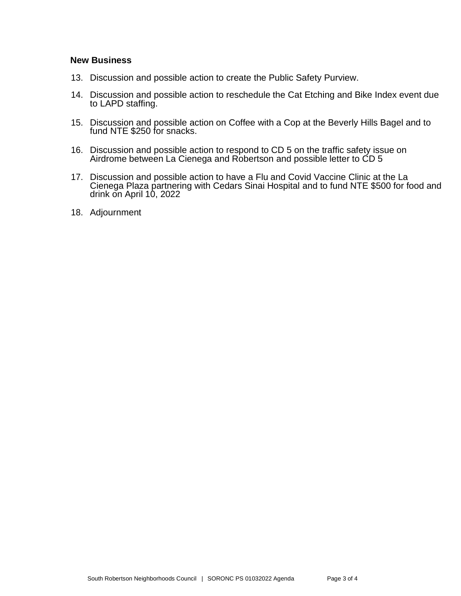### **New Business**

- 13. Discussion and possible action to create the Public Safety Purview.
- 14. Discussion and possible action to reschedule the Cat Etching and Bike Index event due to LAPD staffing.
- 15. Discussion and possible action on Coffee with a Cop at the Beverly Hills Bagel and to fund NTE \$250 for snacks.
- 16. Discussion and possible action to respond to CD 5 on the traffic safety issue on Airdrome between La Cienega and Robertson and possible letter to CD 5
- 17. Discussion and possible action to have a Flu and Covid Vaccine Clinic at the La Cienega Plaza partnering with Cedars Sinai Hospital and to fund NTE \$500 for food and drink on April 10, 2022
- 18. Adjournment